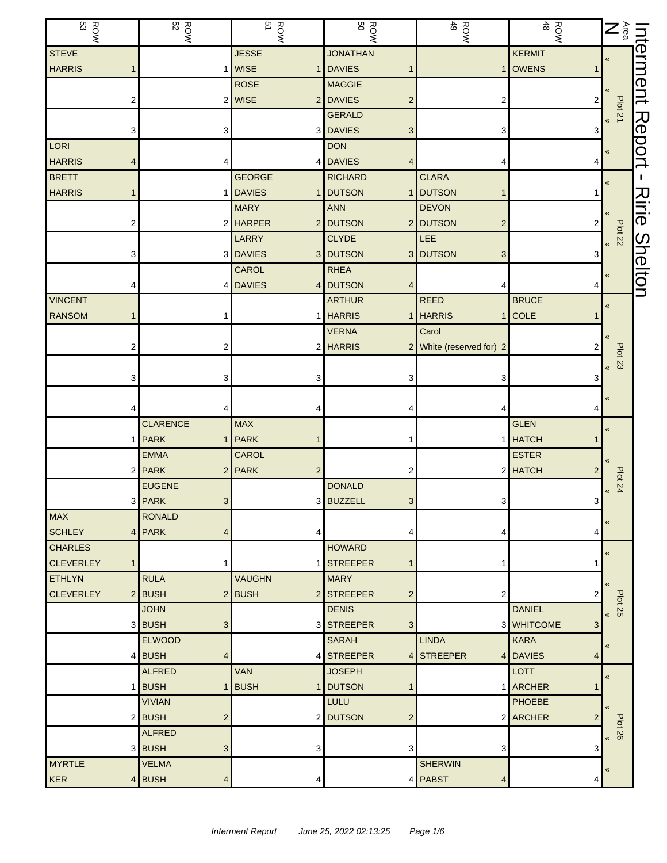| ROW<br>53        |   | <b>ROW</b><br>52           | <b>ROW</b><br>51           | <b>ROW</b>                            | <b>ROW</b>                          | $48$<br>ROW     | $\mathbf{Z}^*_{\frac{\mathbb{R}}{\mathbb{S}}}$ | Interment |
|------------------|---|----------------------------|----------------------------|---------------------------------------|-------------------------------------|-----------------|------------------------------------------------|-----------|
| <b>STEVE</b>     |   |                            | <b>JESSE</b>               | <b>JONATHAN</b>                       |                                     | <b>KERMIT</b>   | $\pmb{\ll}$                                    |           |
| <b>HARRIS</b>    |   |                            | 1 WISE<br>11               | <b>DAVIES</b>                         |                                     | 1 OWENS         |                                                |           |
|                  |   |                            | <b>ROSE</b>                | <b>MAGGIE</b>                         |                                     |                 |                                                |           |
|                  | 2 |                            | 2 WISE                     | 2 DAVIES<br>2                         | 2                                   | 2               | <b>Plot 21</b>                                 |           |
|                  |   |                            |                            | <b>GERALD</b>                         |                                     |                 | $\pmb{\kappa}$                                 |           |
|                  |   | 3                          |                            | 3 DAVIES<br>3                         | 3                                   | 3               |                                                | Report    |
| LORI             |   |                            |                            | <b>DON</b>                            |                                     |                 | $\pmb{\ll}$                                    |           |
| <b>HARRIS</b>    |   | 4                          |                            | 4 DAVIES                              | 4                                   | 4               |                                                |           |
| <b>BRETT</b>     |   |                            | <b>GEORGE</b>              | <b>RICHARD</b>                        | <b>CLARA</b>                        |                 | «                                              |           |
| <b>HARRIS</b>    |   |                            | 1 DAVIES<br>$\mathbf 1$    | <b>DUTSON</b>                         | <b>DUTSON</b><br>1                  |                 |                                                | $\lambda$ |
|                  |   |                            | <b>MARY</b>                | <b>ANN</b>                            | <b>DEVON</b>                        |                 |                                                | ILIG      |
|                  | 2 |                            | 2 HARPER<br>2 <sup>2</sup> | <b>DUTSON</b>                         | 2 DUTSON<br>$\overline{\mathbf{c}}$ | 2               | Plot 22                                        |           |
|                  |   |                            | LARRY                      | <b>CLYDE</b>                          | LEE                                 |                 |                                                |           |
|                  | 3 |                            | 3 DAVIES<br>3 <sup>1</sup> | <b>DUTSON</b>                         | 3 DUTSON<br>3                       | 3               |                                                |           |
|                  |   |                            | <b>CAROL</b>               | <b>RHEA</b>                           |                                     |                 | «                                              | Shelton   |
|                  |   |                            | 4 DAVIES<br>4 <sup>1</sup> | <b>DUTSON</b><br>4                    | 4                                   | 4               |                                                |           |
| <b>VINCENT</b>   |   |                            |                            | <b>ARTHUR</b>                         | <b>REED</b>                         | <b>BRUCE</b>    | $\pmb{\ll}$                                    |           |
| <b>RANSOM</b>    |   |                            | 1                          | <b>HARRIS</b>                         | <b>HARRIS</b>                       | $1$ COLE        |                                                |           |
|                  |   |                            |                            | <b>VERNA</b>                          | Carol                               |                 | $\langle \langle$                              |           |
|                  | 2 | 2                          |                            | 2 HARRIS                              | 2 White (reserved for) 2            |                 | <b>Plot 23</b>                                 |           |
|                  |   |                            |                            |                                       |                                     |                 | $\pmb{\kappa}$                                 |           |
|                  | 3 | 3                          | 3                          | 3                                     | 3                                   | 3               |                                                |           |
|                  |   |                            |                            |                                       |                                     |                 | $\pmb{\ll}$                                    |           |
|                  |   | 4                          |                            |                                       | 4                                   |                 |                                                |           |
|                  |   | <b>CLARENCE</b>            | <b>MAX</b>                 |                                       |                                     | <b>GLEN</b>     | «                                              |           |
|                  |   | <b>PARK</b>                | 1 PARK<br>1                |                                       |                                     | 1 HATCH         |                                                |           |
|                  |   | <b>EMMA</b>                | CAROL                      |                                       |                                     | <b>ESTER</b>    | $\ll$                                          |           |
|                  |   | <b>PARK</b>                | 2 PARK<br>$\overline{2}$   | 2                                     |                                     | 2 HATCH         | Plot 24                                        |           |
|                  |   | <b>EUGENE</b>              |                            | <b>DONALD</b>                         |                                     |                 | $\pmb{\ll}$                                    |           |
|                  |   | 3 PARK<br>3                |                            | 3 BUZZELL<br>3 <sup>1</sup>           | 3 <sup>1</sup>                      | 3               |                                                |           |
| <b>MAX</b>       |   | <b>RONALD</b>              |                            |                                       |                                     |                 | «                                              |           |
| <b>SCHLEY</b>    |   | 4 PARK<br>4                | 4                          | 4                                     | 4                                   | 4               |                                                |           |
| <b>CHARLES</b>   |   |                            |                            | <b>HOWARD</b>                         |                                     |                 | $\pmb{\kappa}$                                 |           |
| <b>CLEVERLEY</b> |   | 1                          |                            | 1 STREEPER                            | 1                                   |                 |                                                |           |
| <b>ETHLYN</b>    |   | <b>RULA</b>                | <b>VAUGHN</b>              | <b>MARY</b>                           |                                     |                 | $\ll$                                          |           |
| <b>CLEVERLEY</b> |   | 2 BUSH                     | $2$ <b>BUSH</b>            | 2 STREEPER<br>$\overline{\mathbf{c}}$ | $\overline{c}$                      | 2               | <b>Plot 25</b>                                 |           |
|                  |   | <b>JOHN</b>                |                            | <b>DENIS</b>                          |                                     | <b>DANIEL</b>   | $\pmb{\langle}$                                |           |
|                  |   | 3 BUSH<br>3                |                            | 3 STREEPER<br>3                       |                                     | 3 WHITCOME<br>3 |                                                |           |
|                  |   | <b>ELWOOD</b>              |                            | <b>SARAH</b>                          | <b>LINDA</b>                        | <b>KARA</b>     | «                                              |           |
|                  |   | 4 BUSH<br>4                |                            | 4 STREEPER                            | 4 STREEPER                          | 4 DAVIES<br>4   |                                                |           |
|                  |   | <b>ALFRED</b>              | <b>VAN</b>                 | <b>JOSEPH</b>                         |                                     | <b>LOTT</b>     | $\pmb{\kappa}$                                 |           |
|                  |   | <b>BUSH</b><br>$\mathbf 1$ | <b>BUSH</b>                | 1 DUTSON                              |                                     | 1 ARCHER        |                                                |           |
|                  |   | <b>VIVIAN</b>              |                            | LULU                                  |                                     | <b>PHOEBE</b>   | $\overline{\mathbf{K}}$                        |           |
|                  |   | 2 BUSH<br>2                |                            | 2 DUTSON<br>2                         |                                     | 2 ARCHER        | <b>Plot 26</b>                                 |           |
|                  |   | <b>ALFRED</b>              |                            |                                       |                                     |                 | $\alpha$                                       |           |
|                  |   | 3 BUSH<br>3                | 3                          | 3                                     | 3                                   | 3               |                                                |           |
| <b>MYRTLE</b>    |   | <b>VELMA</b>               |                            |                                       | <b>SHERWIN</b>                      |                 | «                                              |           |
| KER              |   | 4 BUSH<br>4                | 4                          |                                       | 4 PABST<br>4                        | 4               |                                                |           |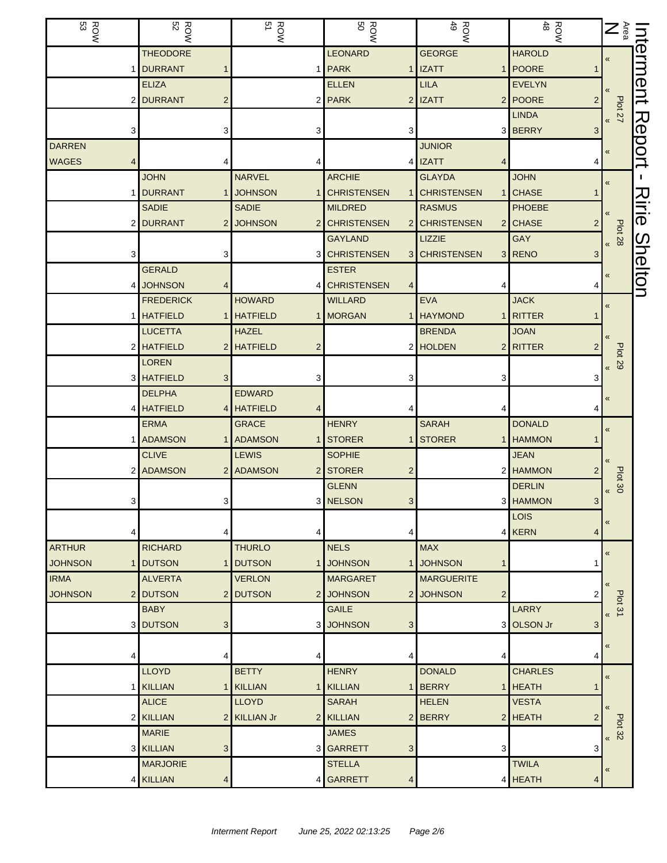| ROW<br>83      |   | <b>ROW</b><br>52        |                 | <b>ROW</b><br>51            | <b>ROW</b>                |   | ROW<br>49          |                | $48$<br>ROW     | $\mathbf{Z}$ $\frac{5}{9}$         | Interment     |
|----------------|---|-------------------------|-----------------|-----------------------------|---------------------------|---|--------------------|----------------|-----------------|------------------------------------|---------------|
|                |   | <b>THEODORE</b>         |                 |                             | <b>LEONARD</b>            |   | <b>GEORGE</b>      |                | <b>HAROLD</b>   | «                                  |               |
|                | 1 | <b>DURRANT</b>          | 1               |                             | 1 PARK                    |   | <b>IZATT</b>       | 1              | <b>POORE</b>    |                                    |               |
|                |   | <b>ELIZA</b>            |                 |                             | <b>ELLEN</b>              |   | <b>LILA</b>        |                | <b>EVELYN</b>   |                                    |               |
|                |   | 2 DURRANT               | $\overline{c}$  |                             | 2 PARK                    |   | $2$ IZATT          |                | 2 POORE<br>2    | <b>Plot 27</b>                     |               |
|                |   |                         |                 |                             |                           |   |                    |                | <b>LINDA</b>    | $\pmb{\mathcal{R}}$                |               |
|                | 3 |                         | 3               | 3                           |                           |   |                    |                | 3 BERRY<br>3    |                                    | <b>Report</b> |
| <b>DARREN</b>  |   |                         |                 |                             |                           |   | <b>JUNIOR</b>      |                |                 | «                                  |               |
| <b>WAGES</b>   | 4 |                         | 4               |                             |                           |   | <b>IZATT</b>       | 4              |                 |                                    |               |
|                |   | <b>JOHN</b>             |                 | <b>NARVEL</b>               | <b>ARCHIE</b>             |   | <b>GLAYDA</b>      |                | <b>JOHN</b>     | «                                  |               |
|                | 1 | <b>DURRANT</b>          | $\blacklozenge$ | <b>JOHNSON</b><br>1         | <b>CHRISTENSEN</b>        |   | <b>CHRISTENSEN</b> | $\mathbf{1}$   | <b>CHASE</b>    |                                    | W             |
|                |   | <b>SADIE</b>            |                 | <b>SADIE</b>                | <b>MILDRED</b>            |   | <b>RASMUS</b>      |                | <b>PHOEBE</b>   |                                    | ⋽             |
|                |   | 2 DURRANT               | 2 <sub>1</sub>  | <b>JOHNSON</b><br>2         | <b>CHRISTENSEN</b>        |   | <b>CHRISTENSEN</b> |                | 2 CHASE<br>2    | <b>Plot 28</b>                     | ወ             |
|                |   |                         |                 |                             | <b>GAYLAND</b>            |   | LIZZIE             |                | <b>GAY</b>      | $\overline{\mathbf{K}}$            | Shelton       |
|                | 3 |                         | 3               |                             | 3 CHRISTENSEN             | 3 | <b>CHRISTENSEN</b> |                | 3 RENO<br>3     |                                    |               |
|                |   | <b>GERALD</b>           |                 |                             | <b>ESTER</b>              |   |                    |                |                 | «                                  |               |
|                |   | 4 JOHNSON               | 4               | 4                           | <b>CHRISTENSEN</b>        | 4 |                    |                |                 |                                    |               |
|                |   | <b>FREDERICK</b>        |                 | <b>HOWARD</b>               | <b>WILLARD</b>            |   | <b>EVA</b>         |                | <b>JACK</b>     | «                                  |               |
|                |   | 1 HATFIELD              |                 | 1 HATFIELD<br>1             | <b>MORGAN</b>             |   | <b>HAYMOND</b>     | $\mathbf{1}$   | <b>RITTER</b>   |                                    |               |
|                |   | <b>LUCETTA</b>          |                 | <b>HAZEL</b>                |                           |   | <b>BRENDA</b>      |                | <b>JOAN</b>     |                                    |               |
|                |   | 2 HATFIELD              |                 | 2 HATFIELD<br>2             |                           |   | <b>HOLDEN</b>      | $\overline{2}$ | <b>RITTER</b>   | <b>Plot 29</b>                     |               |
|                |   | <b>LOREN</b>            |                 |                             |                           |   |                    |                |                 | $\pmb{\mathcal{R}}$                |               |
|                |   | 3 HATFIELD              | 3 <sup>1</sup>  | 3                           |                           |   |                    | 3              |                 |                                    |               |
|                |   | <b>DELPHA</b>           |                 | <b>EDWARD</b>               |                           |   |                    |                |                 | «                                  |               |
|                |   | 4 HATFIELD              |                 | 4 HATFIELD                  |                           |   |                    |                |                 |                                    |               |
|                |   | <b>ERMA</b>             |                 | <b>GRACE</b>                | <b>HENRY</b>              |   | <b>SARAH</b>       |                | <b>DONALD</b>   | $\pmb{\ll}$                        |               |
|                |   | 1 ADAMSON               |                 | 1 ADAMSON<br>1              | <b>STORER</b>             |   | <b>STORER</b>      |                | 1 HAMMON        |                                    |               |
|                |   | <b>CLIVE</b>            |                 | <b>LEWIS</b>                | <b>SOPHIE</b>             |   |                    |                | <b>JEAN</b>     |                                    |               |
|                |   | 2 ADAMSON               |                 | 2 ADAMSON<br>$\overline{2}$ | <b>STORER</b>             |   |                    |                | 2 HAMMON        | <b>Plot 30</b>                     |               |
|                |   |                         |                 |                             | <b>GLENN</b>              |   |                    |                | <b>DERLIN</b>   | $\pmb{\mathcal{R}}$                |               |
|                | 3 |                         | 3               |                             | 3 NELSON                  | 3 |                    |                | 3 HAMMON<br>3   |                                    |               |
|                |   |                         |                 |                             |                           |   |                    |                | LOIS            | «                                  |               |
|                | 4 |                         | 4               | 4                           |                           |   |                    |                | 4 KERN<br>4     |                                    |               |
| <b>ARTHUR</b>  |   | <b>RICHARD</b>          |                 | <b>THURLO</b>               | <b>NELS</b>               |   | <b>MAX</b>         |                |                 | $\pmb{\ll}$                        |               |
| <b>JOHNSON</b> | 1 | <b>DUTSON</b>           |                 | 1 <b>DUTSON</b>             | 1 JOHNSON                 |   | <b>JOHNSON</b>     | 1              |                 |                                    |               |
| <b>IRMA</b>    |   | <b>ALVERTA</b>          |                 | <b>VERLON</b>               | <b>MARGARET</b>           |   | <b>MARGUERITE</b>  |                |                 | $\langle$                          |               |
| <b>JOHNSON</b> |   | 2 DUTSON<br><b>BABY</b> |                 | 2 DUTSON                    | 2 JOHNSON<br><b>GAILE</b> | 2 | <b>JOHNSON</b>     | $\overline{2}$ | 2               | Plot 31                            |               |
|                |   |                         |                 |                             | 3 JOHNSON                 |   |                    |                | LARRY           | $\pmb{\mathcal{R}}$                |               |
|                |   | 3 DUTSON                | 3               |                             |                           | 3 |                    |                | 3 OLSON Jr<br>3 |                                    |               |
|                | 4 |                         | 4               | 4                           |                           |   |                    | 4              | 4               | «                                  |               |
|                |   | <b>LLOYD</b>            |                 | <b>BETTY</b>                | <b>HENRY</b>              |   | <b>DONALD</b>      |                | <b>CHARLES</b>  |                                    |               |
|                |   | 1 KILLIAN               |                 | 1   KILLIAN                 | 1 KILLIAN                 |   | <b>BERRY</b>       |                | 1 HEATH         | $\pmb{\ll}$                        |               |
|                |   | <b>ALICE</b>            |                 | <b>LLOYD</b>                | <b>SARAH</b>              |   | <b>HELEN</b>       |                | <b>VESTA</b>    |                                    |               |
|                |   | 2 KILLIAN               |                 | 2 KILLIAN Jr                | 2   KILLIAN               |   | 2 BERRY            |                | 2 HEATH         |                                    |               |
|                |   | <b>MARIE</b>            |                 |                             | <b>JAMES</b>              |   |                    |                |                 | Plot 32<br>$\overline{\mathbf{K}}$ |               |
|                |   | 3 KILLIAN               | 3               |                             | 3 GARRETT                 | 3 |                    | 3              | 3               |                                    |               |
|                |   | <b>MARJORIE</b>         |                 |                             | <b>STELLA</b>             |   |                    |                | <b>TWILA</b>    | «                                  |               |
|                |   | 4 KILLIAN               | 4               |                             | 4 GARRETT                 |   |                    |                | 4 HEATH<br>4    |                                    |               |
|                |   |                         |                 |                             |                           |   |                    |                |                 |                                    |               |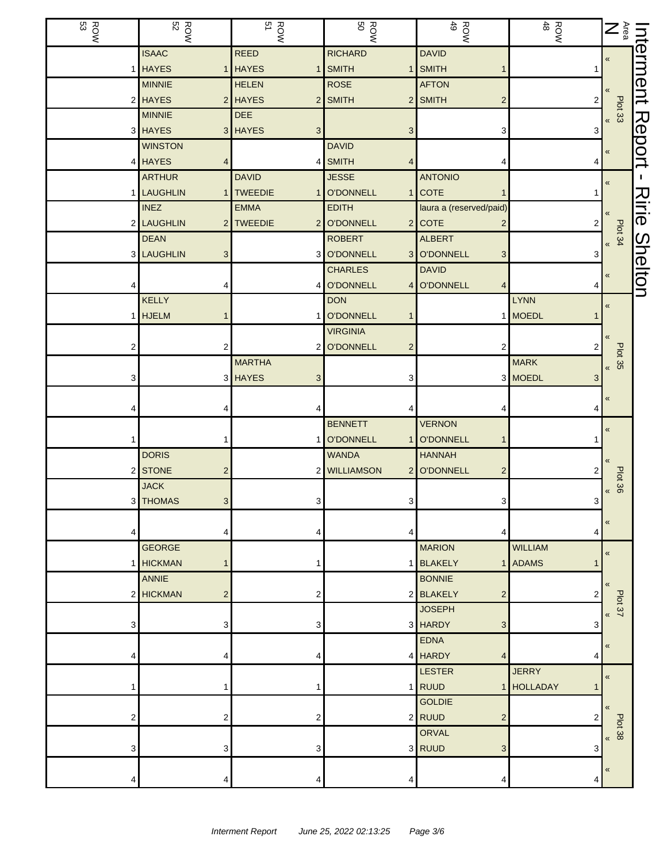| ROW<br>53 | <b>ROW</b><br>52            | <b>ROW</b><br>BOW          | <b>ROW</b><br>ROW              | <b>ROW</b>                              | ROW<br>48      | $\mathbf{Z}^*_{\frac{\mathbb{R}}{\mathbb{S}}}$ |                |
|-----------|-----------------------------|----------------------------|--------------------------------|-----------------------------------------|----------------|------------------------------------------------|----------------|
|           | <b>ISAAC</b>                | <b>REED</b>                | <b>RICHARD</b>                 | <b>DAVID</b>                            |                | $\pmb{\mathfrak{C}}$                           | Interment      |
|           | 1 HAYES                     | 1 HAYES                    | 1 SMITH                        | <b>SMITH</b>                            |                |                                                |                |
|           | <b>MINNIE</b>               | <b>HELEN</b>               | <b>ROSE</b>                    | <b>AFTON</b>                            |                |                                                |                |
|           | 2 HAYES                     | 2 HAYES                    | 2 SMITH<br>$\overline{c}$      | <b>SMITH</b><br>$\overline{\mathbf{c}}$ | 2              | Plot 33                                        |                |
|           | <b>MINNIE</b><br>3 HAYES    | <b>DEE</b><br>3 HAYES<br>3 | 3                              | 3                                       | 3              |                                                | Report         |
|           | <b>WINSTON</b>              |                            | <b>DAVID</b>                   |                                         |                |                                                |                |
|           | 4 HAYES<br>4                |                            | 4 SMITH                        |                                         |                | $\pmb{\kappa}$                                 |                |
|           | <b>ARTHUR</b>               | <b>DAVID</b>               | <b>JESSE</b>                   | <b>ANTONIO</b>                          |                |                                                |                |
|           | 1 LAUGHLIN                  | 1 TWEEDIE<br>$\mathbf{1}$  | <b>O'DONNELL</b><br>1          | <b>COTE</b>                             |                | «                                              |                |
|           | <b>INEZ</b>                 | <b>EMMA</b>                | <b>EDITH</b>                   | laura a (reserved/paid)                 |                |                                                | Ririe          |
|           | 2 LAUGHLIN                  | 2 TWEEDIE                  | 2 O'DONNELL                    | $2$ COTE<br>2                           | 2              |                                                |                |
|           | <b>DEAN</b>                 |                            | <b>ROBERT</b>                  | <b>ALBERT</b>                           |                | Plot 34<br>> 34                                |                |
|           | 3 LAUGHLIN<br>3             |                            | 3 O'DONNELL<br>3               | <b>O'DONNELL</b><br>3                   | 3              |                                                |                |
|           |                             |                            | <b>CHARLES</b>                 | <b>DAVID</b>                            |                | «                                              | <b>Shelton</b> |
|           | 4                           |                            | 4 O'DONNELL<br>4               | <b>O'DONNELL</b><br>4                   | 4              |                                                |                |
|           | <b>KELLY</b>                |                            | <b>DON</b>                     |                                         | <b>LYNN</b>    | $\pmb{\kappa}$                                 |                |
|           | 1 HJELM                     |                            | 1 O'DONNELL                    |                                         | 1 MOEDL        |                                                |                |
|           |                             |                            | <b>VIRGINIA</b>                |                                         |                |                                                |                |
| 2         | $\overline{2}$              | $\overline{c}$             | O'DONNELL<br>2                 | 2                                       |                | Plot 35                                        |                |
|           |                             | <b>MARTHA</b>              |                                |                                         | <b>MARK</b>    | $\pmb{\mathsf{K}}$                             |                |
| 3         |                             | 3 HAYES<br>3               |                                |                                         | 3 MOEDL<br>3   |                                                |                |
|           |                             |                            |                                |                                         |                | $\pmb{\kappa}$                                 |                |
|           | 4                           |                            | <b>BENNETT</b>                 | <b>VERNON</b>                           |                |                                                |                |
|           | 1                           | 1                          | <b>O'DONNELL</b>               | <b>O'DONNELL</b>                        |                | $\pmb{\kappa}$                                 |                |
|           | <b>DORIS</b>                |                            | <b>WANDA</b>                   | <b>HANNAH</b>                           |                |                                                |                |
|           | 2 STONE<br>$\overline{2}$   |                            | 2 WILLIAMSON<br>2 <sub>1</sub> | <b>O'DONNELL</b><br>$\overline{2}$      |                |                                                |                |
|           | <b>JACK</b>                 |                            |                                |                                         |                | $P$ lot 36                                     |                |
|           | 3 THOMAS<br>3 <sup>1</sup>  | 3 <sup>2</sup>             | 3                              | 3                                       | 3              |                                                |                |
|           |                             |                            |                                |                                         |                | «                                              |                |
| 4         | 4                           | 4                          |                                | 4                                       | 4              |                                                |                |
|           | <b>GEORGE</b>               |                            |                                | <b>MARION</b>                           | <b>WILLIAM</b> | $\pmb{\kappa}$                                 |                |
|           | 1 HICKMAN<br>1              | 1                          |                                | <b>BLAKELY</b><br>1 <sup>1</sup>        | <b>ADAMS</b>   |                                                |                |
|           | <b>ANNIE</b>                |                            |                                | <b>BONNIE</b>                           |                | $\langle$                                      |                |
|           | 2 HICKMAN<br>$\overline{2}$ | 2                          | 2                              | <b>BLAKELY</b><br>2                     | 2              | Plot <sub>37</sub>                             |                |
|           |                             |                            |                                | <b>JOSEPH</b>                           |                | $\pmb{\mathcal{R}}$                            |                |
| 3         | 3                           | 3                          |                                | 3 HARDY<br>3                            | 3              |                                                |                |
|           |                             |                            |                                | <b>EDNA</b>                             |                | «                                              |                |
| 4         | 4                           | 4                          |                                | 4 HARDY<br>4                            | 4              |                                                |                |
|           | 1                           |                            |                                | <b>LESTER</b><br><b>RUUD</b>            | <b>JERRY</b>   | $\pmb{\mathcal{R}}$                            |                |
|           |                             |                            |                                | <b>GOLDIE</b>                           | 1 HOLLADAY     |                                                |                |
| 2         | $\overline{c}$              | 2                          | 2                              | <b>RUUD</b><br>$\overline{\mathbf{c}}$  |                | $\pmb{\langle} \pmb{\langle}$                  |                |
|           |                             |                            |                                | <b>ORVAL</b>                            |                | <b>Plot 38</b>                                 |                |
| 3         | 3                           | 3                          | 3                              | <b>RUUD</b><br>3                        | 3              | $\pmb{\mathsf{K}}$                             |                |
|           |                             |                            |                                |                                         |                |                                                |                |
| 4         | 4                           | 4                          | 4                              | 4                                       | 4              | «                                              |                |
|           |                             |                            |                                |                                         |                |                                                |                |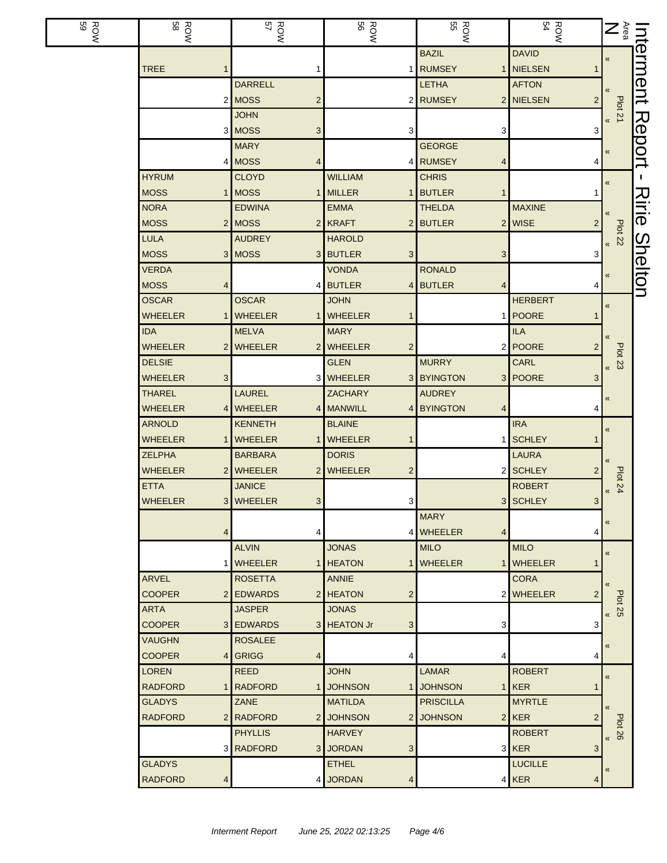| <b>ROW</b><br>ROW | <b>ROW</b><br>58           | ROW<br>57               | <b>ROW</b><br>56            | $\frac{ROW}{55}$   | $\frac{ROW}{54}$            | $\sum_{\substack{a \ b}}$ |              |
|-------------------|----------------------------|-------------------------|-----------------------------|--------------------|-----------------------------|---------------------------|--------------|
|                   |                            |                         |                             | <b>BAZIL</b>       | <b>DAVID</b>                | 《                         | hterment     |
|                   | <b>TREE</b>                |                         | 1                           | <b>RUMSEY</b>      | 1 NIELSEN                   |                           |              |
|                   |                            | <b>DARRELL</b>          |                             | <b>LETHA</b>       | <b>AFTON</b>                |                           |              |
|                   | 2                          | <b>MOSS</b><br>2        |                             | 2 RUMSEY           | 2 NIELSEN<br>$\overline{c}$ | Plot 21                   |              |
|                   |                            | <b>JOHN</b>             |                             |                    |                             |                           | Report       |
|                   |                            | 3 MOSS<br>3             | 3                           | 3                  | 3                           |                           |              |
|                   |                            | <b>MARY</b>             |                             | <b>GEORGE</b>      |                             | «                         |              |
|                   | 4                          | <b>MOSS</b><br>4        |                             | 4 RUMSEY<br>4      |                             |                           |              |
|                   | <b>HYRUM</b>               | <b>CLOYD</b>            | <b>WILLIAM</b>              | <b>CHRIS</b>       |                             | «                         | L.           |
|                   | <b>MOSS</b>                | <b>MOSS</b>             | MILLER                      | 1 BUTLER<br>1      |                             |                           |              |
|                   | <b>NORA</b>                | <b>EDWINA</b>           | <b>EMMA</b>                 | <b>THELDA</b>      | <b>MAXINE</b>               |                           | <b>Ririe</b> |
|                   | <b>MOSS</b>                | 2 MOSS                  | 2 KRAFT                     | 2 BUTLER           | 2 WISE<br>$\overline{2}$    | Plot 22                   |              |
|                   | <b>LULA</b><br><b>MOSS</b> | <b>AUDREY</b><br>3 MOSS | <b>HAROLD</b><br>3 BUTLER   |                    |                             |                           | Shelton      |
|                   | <b>VERDA</b>               |                         | 3<br><b>VONDA</b>           | 3<br><b>RONALD</b> | 3                           |                           |              |
|                   | <b>MOSS</b>                |                         | 4 BUTLER                    | 4 BUTLER           |                             |                           |              |
|                   | <b>OSCAR</b>               | <b>OSCAR</b>            | <b>JOHN</b>                 | 4                  | 4<br><b>HERBERT</b>         |                           |              |
|                   | <b>WHEELER</b>             | <b>WHEELER</b>          | <b>WHEELER</b><br>1         | 11                 | <b>POORE</b>                | «                         |              |
|                   | <b>IDA</b>                 | <b>MELVA</b>            | <b>MARY</b>                 |                    | <b>ILA</b>                  |                           |              |
|                   | <b>WHEELER</b><br>2        | <b>WHEELER</b>          | 2 WHEELER<br>$\overline{2}$ |                    | 2 POORE<br>2                |                           |              |
|                   | <b>DELSIE</b>              |                         | <b>GLEN</b>                 | <b>MURRY</b>       | CARL                        | Plot 23<br>>              |              |
|                   | <b>WHEELER</b><br>3        |                         | 3 WHEELER                   | 3 BYINGTON         | 3 POORE<br>3                |                           |              |
|                   | <b>THAREL</b>              | <b>LAUREL</b>           | <b>ZACHARY</b>              | <b>AUDREY</b>      |                             |                           |              |
|                   | <b>WHEELER</b><br>4        | <b>WHEELER</b>          | 4 MANWILL                   | 4 BYINGTON<br>4    | 4                           | «                         |              |
|                   | <b>ARNOLD</b>              | <b>KENNETH</b>          | <b>BLAINE</b>               |                    | <b>IRA</b>                  |                           |              |
|                   | <b>WHEELER</b>             | WHEELER                 | <b>WHEELER</b><br>1         |                    | 1 SCHLEY                    | «                         |              |
|                   | <b>ZELPHA</b>              | <b>BARBARA</b>          | <b>DORIS</b>                |                    | <b>LAURA</b>                |                           |              |
|                   | <b>WHEELER</b>             | 2 WHEELER               | 2 WHEELER<br>2              |                    | 2 SCHLEY<br>2               |                           |              |
|                   | <b>ETTA</b>                | <b>JANICE</b>           |                             |                    | <b>ROBERT</b>               | Plot 24                   |              |
|                   | <b>WHEELER</b>             | 3 WHEELER<br>$3\vert$   | 3                           |                    | 3 SCHLEY<br>3               |                           |              |
|                   |                            |                         |                             | <b>MARY</b>        |                             | «                         |              |
|                   | 4                          | 4                       |                             | 4 WHEELER<br>4     | 4                           |                           |              |
|                   |                            | <b>ALVIN</b>            | <b>JONAS</b>                | <b>MILO</b>        | <b>MILO</b>                 | «                         |              |
|                   |                            | <b>WHEELER</b>          | 1 HEATON                    | 1 WHEELER          | 1 WHEELER<br>1              |                           |              |
|                   | <b>ARVEL</b>               | <b>ROSETTA</b>          | <b>ANNIE</b>                |                    | <b>CORA</b>                 |                           |              |
|                   | <b>COOPER</b>              | 2 EDWARDS               | 2 HEATON<br>$\overline{c}$  |                    | 2 WHEELER<br>2              |                           |              |
|                   | <b>ARTA</b>                | <b>JASPER</b>           | <b>JONAS</b>                |                    |                             | Plot 25<br>Plot 25        |              |
|                   | <b>COOPER</b>              | 3 EDWARDS               | 3 HEATON Jr<br>3            | 3                  | 3                           |                           |              |
|                   | <b>VAUGHN</b>              | <b>ROSALEE</b>          |                             |                    |                             | «                         |              |
|                   | <b>COOPER</b><br>4         | <b>GRIGG</b><br>4       | 4                           | 4                  | 4                           |                           |              |
|                   | <b>LOREN</b>               | <b>REED</b>             | <b>JOHN</b>                 | LAMAR              | <b>ROBERT</b>               | «                         |              |
|                   | <b>RADFORD</b>             | <b>RADFORD</b>          | <b>JOHNSON</b>              | 1 JOHNSON          | $1$ KER                     |                           |              |
|                   | <b>GLADYS</b>              | ZANE                    | <b>MATILDA</b>              | <b>PRISCILLA</b>   | <b>MYRTLE</b>               | $\overline{\mathcal{U}}$  |              |
|                   | <b>RADFORD</b>             | 2 RADFORD               | 2 JOHNSON                   | 2 JOHNSON          | $2$ KER<br>$\overline{c}$   | <b>Plot 26</b>            |              |
|                   |                            | <b>PHYLLIS</b>          | <b>HARVEY</b>               |                    | <b>ROBERT</b>               |                           |              |
|                   | 3                          | <b>RADFORD</b>          | 3 JORDAN<br>3               |                    | $3$ <sup>KER</sup><br>3     |                           |              |
|                   | <b>GLADYS</b>              |                         | <b>ETHEL</b>                |                    | <b>LUCILLE</b>              | «                         |              |
|                   | <b>RADFORD</b><br>4        | 4                       | <b>JORDAN</b><br>4          |                    | $4$ KER<br>Δ                |                           |              |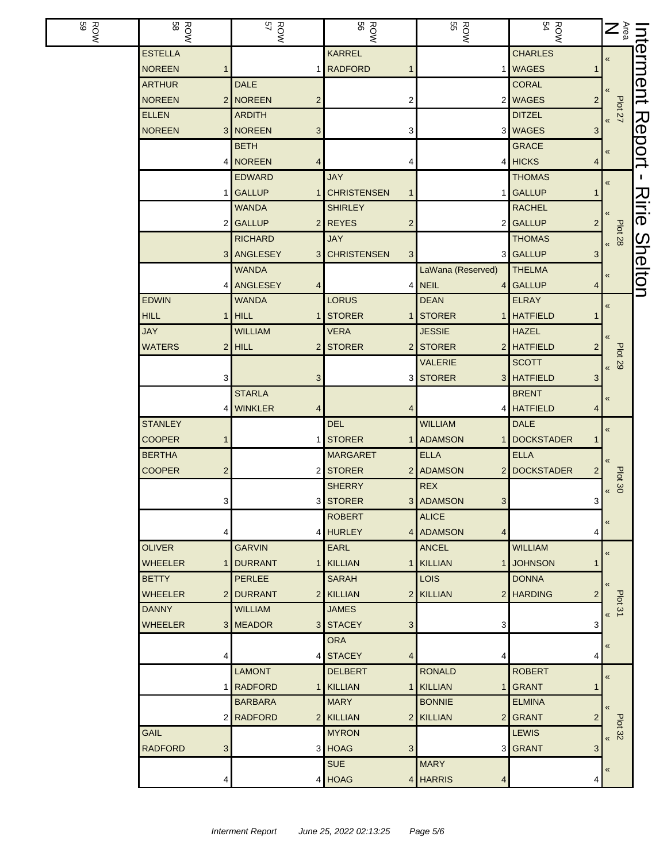| <b>ROW</b><br>59 | <b>ROW</b><br>BOW                  | ROW<br>ROW                                 | ROW<br>ROW                  | ROW<br>BOW                     | ROW<br>54                       | $\mathbf{Z}^s_{\frac{5}{9}}$   | nterment |
|------------------|------------------------------------|--------------------------------------------|-----------------------------|--------------------------------|---------------------------------|--------------------------------|----------|
|                  | <b>ESTELLA</b>                     |                                            | <b>KARREL</b>               |                                | <b>CHARLES</b>                  | $\pmb{\ll}$                    |          |
|                  | <b>NOREEN</b><br>$\mathbf{1}$      | 1                                          | <b>RADFORD</b>              |                                | 1 WAGES                         |                                |          |
|                  | <b>ARTHUR</b>                      | <b>DALE</b>                                |                             |                                | <b>CORAL</b>                    |                                |          |
|                  | <b>NOREEN</b>                      | 2 NOREEN<br>$\overline{c}$                 | 2                           |                                | 2 WAGES<br>$\overline{2}$       | <b>Plot 27</b>                 |          |
|                  | <b>ELLEN</b>                       | <b>ARDITH</b>                              |                             |                                | <b>DITZEL</b>                   | $\pmb{\kappa}$                 |          |
|                  | <b>NOREEN</b>                      | 3 NOREEN<br>3                              | 3                           |                                | 3 WAGES<br>3                    |                                | Report   |
|                  |                                    | <b>BETH</b>                                |                             |                                | <b>GRACE</b>                    | $\pmb{\kappa}$                 |          |
|                  |                                    | 4 NOREEN<br>4                              |                             |                                | 4 HICKS<br>4                    |                                |          |
|                  |                                    | <b>EDWARD</b>                              | <b>JAY</b>                  |                                | <b>THOMAS</b>                   | $\pmb{\kappa}$                 | I.       |
|                  |                                    | 1 GALLUP<br>1                              | <b>CHRISTENSEN</b>          |                                | 1 GALLUP<br>1                   |                                | スミーの     |
|                  |                                    | <b>WANDA</b>                               | <b>SHIRLEY</b>              |                                | <b>RACHEL</b>                   |                                |          |
|                  |                                    | 2 GALLUP                                   | 2 REYES<br>2                |                                | 2 GALLUP<br>2                   | <b>Plot 28</b>                 |          |
|                  |                                    | <b>RICHARD</b>                             | <b>JAY</b>                  |                                | <b>THOMAS</b>                   | $\,\,\ll$                      |          |
|                  |                                    | 3 ANGLESEY<br>3                            | <b>CHRISTENSEN</b><br>3     |                                | 3 GALLUP<br>3                   |                                | Shelton  |
|                  |                                    | <b>WANDA</b>                               |                             | LaWana (Reserved)              | <b>THELMA</b>                   | $\pmb{\kappa}$                 |          |
|                  |                                    | 4 ANGLESEY<br>4                            | 4                           | NEIL                           | 4 GALLUP<br>4                   |                                |          |
|                  | <b>EDWIN</b><br><b>HILL</b>        | <b>WANDA</b>                               | <b>LORUS</b><br>STORER      | <b>DEAN</b><br><b>STORER</b>   | <b>ELRAY</b>                    | $\pmb{\kappa}$                 |          |
|                  | <b>JAY</b>                         | $1$ HILL<br>$\mathbf{1}$<br><b>WILLIAM</b> | <b>VERA</b>                 | $\mathbf{1}$<br><b>JESSIE</b>  | <b>HATFIELD</b><br><b>HAZEL</b> |                                |          |
|                  | <b>WATERS</b>                      | $2$ HILL                                   | 2 STORER<br>2               | <b>STORER</b>                  | 2 HATFIELD<br>2                 |                                |          |
|                  |                                    |                                            |                             | <b>VALERIE</b>                 | <b>SCOTT</b>                    | <b>Plot 29</b>                 |          |
|                  | 3                                  | 3                                          | 3                           | <b>STORER</b>                  | 3 HATFIELD<br>3                 | $\pmb{\mathcal{R}}$            |          |
|                  |                                    | <b>STARLA</b>                              |                             |                                | <b>BRENT</b>                    |                                |          |
|                  |                                    | 4 WINKLER<br>4                             |                             |                                | 4 HATFIELD<br>4                 | $\pmb{\kappa}$                 |          |
|                  | <b>STANLEY</b>                     |                                            | <b>DEL</b>                  | <b>WILLIAM</b>                 | <b>DALE</b>                     |                                |          |
|                  | <b>COOPER</b><br>$\overline{1}$    |                                            | 1 STORER                    | <b>ADAMSON</b><br>1            | <b>DOCKSTADER</b>               | $\pmb{\kappa}$                 |          |
|                  | <b>BERTHA</b>                      |                                            | <b>MARGARET</b>             | <b>ELLA</b>                    | <b>ELLA</b>                     |                                |          |
|                  | <b>COOPER</b><br>$\overline{2}$    |                                            | 2 STORER                    | 2 ADAMSON                      | 2 DOCKSTADER                    |                                |          |
|                  |                                    |                                            | <b>SHERRY</b>               | <b>REX</b>                     |                                 | Plot 30<br>$\pmb{\mathcal{R}}$ |          |
|                  | 3                                  |                                            | 3 STORER                    | 3 ADAMSON<br>3 <sup>1</sup>    | $\mathbf{3}$                    |                                |          |
|                  |                                    |                                            | <b>ROBERT</b>               | <b>ALICE</b>                   |                                 | «                              |          |
|                  | 4                                  |                                            | 4 HURLEY<br>4               | <b>ADAMSON</b><br>4            | 4                               |                                |          |
|                  | <b>OLIVER</b>                      | <b>GARVIN</b>                              | <b>EARL</b>                 | <b>ANCEL</b>                   | <b>WILLIAM</b>                  | $\pmb{\kappa}$                 |          |
|                  | <b>WHEELER</b>                     | 1 DURRANT                                  | 1   KILLIAN<br>1            | <b>KILLIAN</b><br>$\mathbf{1}$ | <b>JOHNSON</b><br>1             |                                |          |
|                  | <b>BETTY</b>                       | <b>PERLEE</b>                              | <b>SARAH</b>                | <b>LOIS</b>                    | <b>DONNA</b>                    | $\pmb{\langle} \pmb{\langle}$  |          |
|                  | <b>WHEELER</b>                     | 2 DURRANT                                  | 2   KILLIAN                 | 2 KILLIAN                      | 2 HARDING<br>2                  | Plot 31                        |          |
|                  | <b>DANNY</b>                       | <b>WILLIAM</b>                             | <b>JAMES</b>                |                                |                                 | $\pmb{\mathsf{K}}$             |          |
|                  | <b>WHEELER</b>                     | 3 MEADOR                                   | 3 STACEY<br>3               | 3                              | 3                               |                                |          |
|                  |                                    |                                            | <b>ORA</b>                  |                                |                                 | «                              |          |
|                  | 4                                  |                                            | 4 STACEY<br>4               | 4                              | 4                               |                                |          |
|                  |                                    | <b>LAMONT</b>                              | <b>DELBERT</b>              | <b>RONALD</b>                  | <b>ROBERT</b>                   | $\pmb{\kappa}$                 |          |
|                  |                                    | 1 RADFORD                                  | 1 KILLIAN<br>1              | <b>KILLIAN</b>                 | 1 GRANT                         |                                |          |
|                  |                                    | <b>BARBARA</b>                             | <b>MARY</b>                 | <b>BONNIE</b>                  | <b>ELMINA</b>                   |                                |          |
|                  |                                    | 2 RADFORD                                  | 2   KILLIAN                 | 2 KILLIAN                      | 2 GRANT<br>2                    | Plot 32                        |          |
|                  | <b>GAIL</b><br><b>RADFORD</b><br>3 |                                            | <b>MYRON</b><br>3 HOAG<br>3 |                                | <b>LEWIS</b><br>3 GRANT<br>3    |                                |          |
|                  |                                    |                                            | <b>SUE</b>                  | <b>MARY</b>                    |                                 |                                |          |
|                  | 4                                  | 4                                          | <b>HOAG</b>                 | <b>HARRIS</b><br>4             | 4                               | «                              |          |
|                  |                                    |                                            | 4                           |                                |                                 |                                |          |